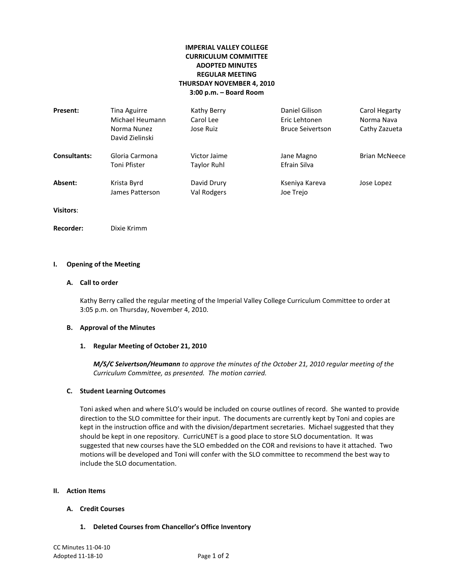# **IMPERIAL VALLEY COLLEGE CURRICULUM COMMITTEE ADOPTED MINUTES REGULAR MEETING THURSDAY NOVEMBER 4, 2010 3:00 p.m. – Board Room**

| Present:            | <b>Tina Aguirre</b><br>Michael Heumann<br>Norma Nunez<br>David Zielinski | Kathy Berry<br>Carol Lee<br>Jose Ruiz | Daniel Gilison<br>Eric Lehtonen<br><b>Bruce Seivertson</b> | Carol Hegarty<br>Norma Nava<br>Cathy Zazueta |
|---------------------|--------------------------------------------------------------------------|---------------------------------------|------------------------------------------------------------|----------------------------------------------|
| <b>Consultants:</b> | Gloria Carmona<br>Toni Pfister                                           | Victor Jaime<br>Taylor Ruhl           | Jane Magno<br>Efrain Silva                                 | <b>Brian McNeece</b>                         |
| Absent:             | Krista Byrd<br>James Patterson                                           | David Drury<br>Val Rodgers            | Kseniya Kareva<br>Joe Trejo                                | Jose Lopez                                   |
| <b>Visitors:</b>    |                                                                          |                                       |                                                            |                                              |

**Recorder:** Dixie Krimm

### **I. Opening of the Meeting**

### **A. Call to order**

Kathy Berry called the regular meeting of the Imperial Valley College Curriculum Committee to order at 3:05 p.m. on Thursday, November 4, 2010.

### **B. Approval of the Minutes**

### **1. Regular Meeting of October 21, 2010**

*M/S/C Seivertson/Heumann to approve the minutes of the October 21, 2010 regular meeting of the Curriculum Committee, as presented. The motion carried.*

### **C. Student Learning Outcomes**

Toni asked when and where SLO's would be included on course outlines of record. She wanted to provide direction to the SLO committee for their input. The documents are currently kept by Toni and copies are kept in the instruction office and with the division/department secretaries. Michael suggested that they should be kept in one repository. CurricUNET is a good place to store SLO documentation. It was suggested that new courses have the SLO embedded on the COR and revisions to have it attached. Two motions will be developed and Toni will confer with the SLO committee to recommend the best way to include the SLO documentation.

#### **II. Action Items**

### **A. Credit Courses**

**1. Deleted Courses from Chancellor's Office Inventory**